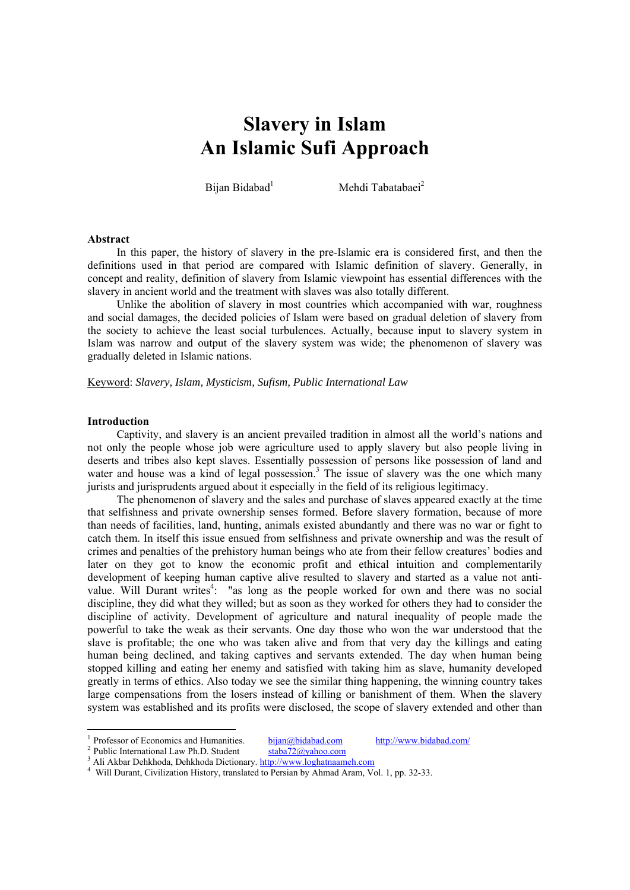# **Slavery in Islam An Islamic Sufi Approach**

Bijan Bidabad<sup>1</sup>

Mehdi Tabatabaei<sup>2</sup>

#### **Abstract**

In this paper, the history of slavery in the pre-Islamic era is considered first, and then the definitions used in that period are compared with Islamic definition of slavery. Generally, in concept and reality, definition of slavery from Islamic viewpoint has essential differences with the slavery in ancient world and the treatment with slaves was also totally different.

Unlike the abolition of slavery in most countries which accompanied with war, roughness and social damages, the decided policies of Islam were based on gradual deletion of slavery from the society to achieve the least social turbulences. Actually, because input to slavery system in Islam was narrow and output of the slavery system was wide; the phenomenon of slavery was gradually deleted in Islamic nations.

Keyword: *Slavery, Islam, Mysticism, Sufism, Public International Law* 

#### **Introduction**

Captivity, and slavery is an ancient prevailed tradition in almost all the world's nations and not only the people whose job were agriculture used to apply slavery but also people living in deserts and tribes also kept slaves. Essentially possession of persons like possession of land and water and house was a kind of legal possession.<sup>3</sup> The issue of slavery was the one which many jurists and jurisprudents argued about it especially in the field of its religious legitimacy.

The phenomenon of slavery and the sales and purchase of slaves appeared exactly at the time that selfishness and private ownership senses formed. Before slavery formation, because of more than needs of facilities, land, hunting, animals existed abundantly and there was no war or fight to catch them. In itself this issue ensued from selfishness and private ownership and was the result of crimes and penalties of the prehistory human beings who ate from their fellow creatures' bodies and later on they got to know the economic profit and ethical intuition and complementarily development of keeping human captive alive resulted to slavery and started as a value not antivalue. Will Durant writes<sup>4</sup>: "as long as the people worked for own and there was no social discipline, they did what they willed; but as soon as they worked for others they had to consider the discipline of activity. Development of agriculture and natural inequality of people made the powerful to take the weak as their servants. One day those who won the war understood that the slave is profitable; the one who was taken alive and from that very day the killings and eating human being declined, and taking captives and servants extended. The day when human being stopped killing and eating her enemy and satisfied with taking him as slave, humanity developed greatly in terms of ethics. Also today we see the similar thing happening, the winning country takes large compensations from the losers instead of killing or banishment of them. When the slavery system was established and its profits were disclosed, the scope of slavery extended and other than

-

<sup>&</sup>lt;sup>1</sup> Professor of Economics and Humanities. <u>bijan@bidabad.com</u> http://www.bidabad.com/<br><sup>2</sup> Public International Law Ph.D. Student staba72@yahoo.com 3 A li Akhar Dekkhada. Distinguish in the lower lookstraamsh com

<sup>&</sup>lt;sup>3</sup> Ali Akbar Dehkhoda, Dehkhoda Dictionary.  $\frac{http://www.loghatnaameh.com}{http://www.loghatnaameh.com}$ 

Will Durant, Civilization History, translated to Persian by Ahmad Aram, Vol. 1, pp. 32-33.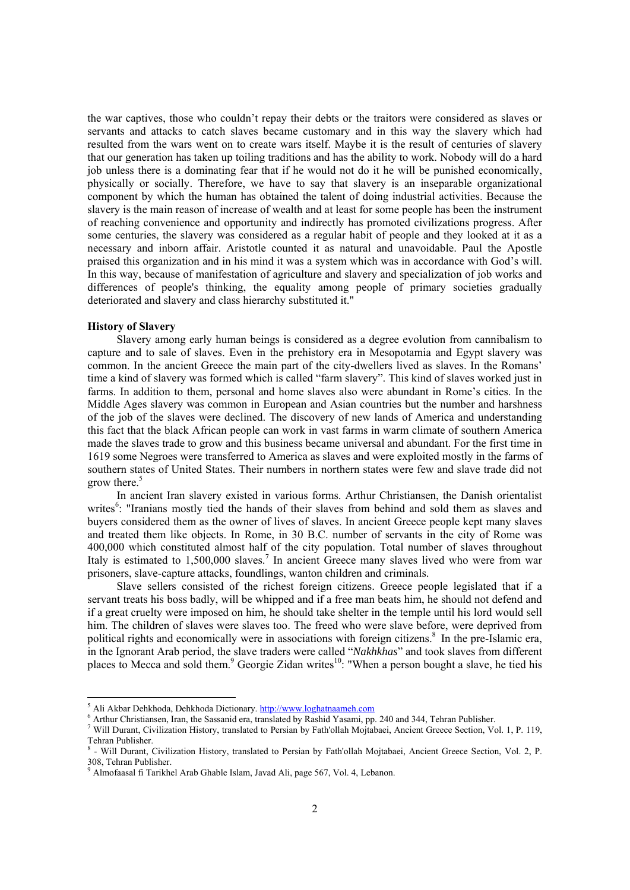the war captives, those who couldn't repay their debts or the traitors were considered as slaves or servants and attacks to catch slaves became customary and in this way the slavery which had resulted from the wars went on to create wars itself. Maybe it is the result of centuries of slavery that our generation has taken up toiling traditions and has the ability to work. Nobody will do a hard job unless there is a dominating fear that if he would not do it he will be punished economically, physically or socially. Therefore, we have to say that slavery is an inseparable organizational component by which the human has obtained the talent of doing industrial activities. Because the slavery is the main reason of increase of wealth and at least for some people has been the instrument of reaching convenience and opportunity and indirectly has promoted civilizations progress. After some centuries, the slavery was considered as a regular habit of people and they looked at it as a necessary and inborn affair. Aristotle counted it as natural and unavoidable. Paul the Apostle praised this organization and in his mind it was a system which was in accordance with God's will. In this way, because of manifestation of agriculture and slavery and specialization of job works and differences of people's thinking, the equality among people of primary societies gradually deteriorated and slavery and class hierarchy substituted it."

#### **History of Slavery**

 $\overline{a}$ 

Slavery among early human beings is considered as a degree evolution from cannibalism to capture and to sale of slaves. Even in the prehistory era in Mesopotamia and Egypt slavery was common. In the ancient Greece the main part of the city-dwellers lived as slaves. In the Romans' time a kind of slavery was formed which is called "farm slavery". This kind of slaves worked just in farms. In addition to them, personal and home slaves also were abundant in Rome's cities. In the Middle Ages slavery was common in European and Asian countries but the number and harshness of the job of the slaves were declined. The discovery of new lands of America and understanding this fact that the black African people can work in vast farms in warm climate of southern America made the slaves trade to grow and this business became universal and abundant. For the first time in 1619 some Negroes were transferred to America as slaves and were exploited mostly in the farms of southern states of United States. Their numbers in northern states were few and slave trade did not grow there.<sup>5</sup>

In ancient Iran slavery existed in various forms. Arthur Christiansen, the Danish orientalist writes<sup>6</sup>: "Iranians mostly tied the hands of their slaves from behind and sold them as slaves and buyers considered them as the owner of lives of slaves. In ancient Greece people kept many slaves and treated them like objects. In Rome, in 30 B.C. number of servants in the city of Rome was 400,000 which constituted almost half of the city population. Total number of slaves throughout Italy is estimated to 1,500,000 slaves.<sup>7</sup> In ancient Greece many slaves lived who were from war prisoners, slave-capture attacks, foundlings, wanton children and criminals.

Slave sellers consisted of the richest foreign citizens. Greece people legislated that if a servant treats his boss badly, will be whipped and if a free man beats him, he should not defend and if a great cruelty were imposed on him, he should take shelter in the temple until his lord would sell him. The children of slaves were slaves too. The freed who were slave before, were deprived from political rights and economically were in associations with foreign citizens.<sup>8</sup> In the pre-Islamic era, in the Ignorant Arab period, the slave traders were called "*Nakhkhas*" and took slaves from different places to Mecca and sold them.<sup>9</sup> Georgie Zidan writes<sup>10</sup>: "When a person bought a slave, he tied his

<sup>&</sup>lt;sup>5</sup> Ali Akbar Dehkhoda, Dehkhoda Dictionary.  $\frac{http://www.loghatnaameh.com}{http://www.loghatnaameh.com}$ 

<sup>&</sup>lt;sup>6</sup> Arthur Christiansen, Iran, the Sassanid era, translated by Rashid Yasami, pp. 240 and 344, Tehran Publisher.

Will Durant, Civilization History, translated to Persian by Fath'ollah Mojtabaei, Ancient Greece Section, Vol. 1, P. 119, Tehran Publisher.

<sup>&</sup>lt;sup>8</sup> - Will Durant, Civilization History, translated to Persian by Fath'ollah Mojtabaei, Ancient Greece Section, Vol. 2, P. 308, Tehran Publisher.

<sup>9</sup> Almofaasal fi Tarikhel Arab Ghable Islam, Javad Ali, page 567, Vol. 4, Lebanon.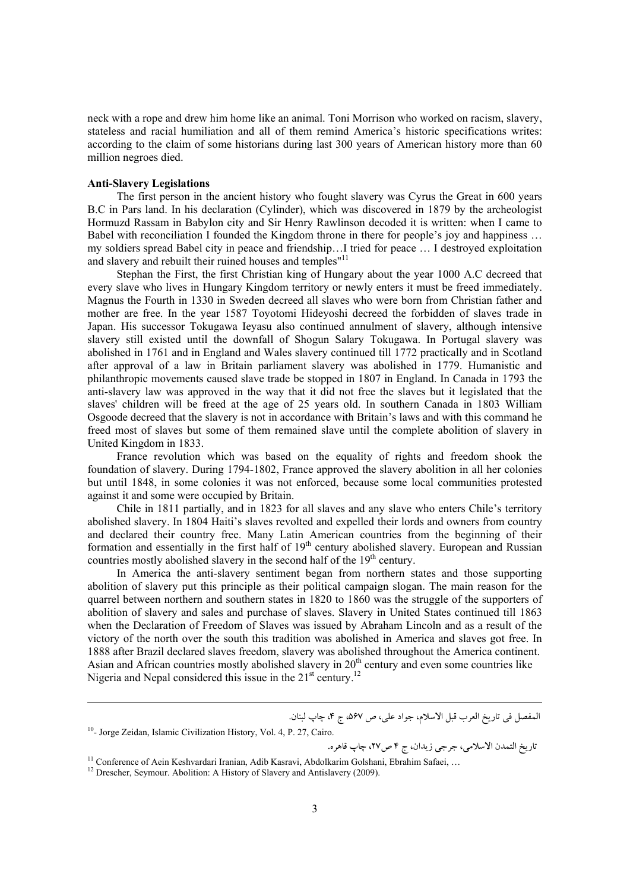neck with a rope and drew him home like an animal. Toni Morrison who worked on racism, slavery, stateless and racial humiliation and all of them remind America's historic specifications writes: according to the claim of some historians during last 300 years of American history more than 60 million negroes died.

## **Anti-Slavery Legislations**

The first person in the ancient history who fought slavery was Cyrus the Great in 600 years B.C in Pars land. In his declaration (Cylinder), which was discovered in 1879 by the archeologist Hormuzd Rassam in Babylon city and Sir Henry Rawlinson decoded it is written: when I came to Babel with reconciliation I founded the Kingdom throne in there for people's joy and happiness ... my soldiers spread Babel city in peace and friendship…I tried for peace … I destroyed exploitation and slavery and rebuilt their ruined houses and temples"<sup>11</sup>

Stephan the First, the first Christian king of Hungary about the year 1000 A.C decreed that every slave who lives in Hungary Kingdom territory or newly enters it must be freed immediately. Magnus the Fourth in 1330 in Sweden decreed all slaves who were born from Christian father and mother are free. In the year 1587 Toyotomi Hideyoshi decreed the forbidden of slaves trade in Japan. His successor Tokugawa Ieyasu also continued annulment of slavery, although intensive slavery still existed until the downfall of Shogun Salary Tokugawa. In Portugal slavery was abolished in 1761 and in England and Wales slavery continued till 1772 practically and in Scotland after approval of a law in Britain parliament slavery was abolished in 1779. Humanistic and philanthropic movements caused slave trade be stopped in 1807 in England. In Canada in 1793 the anti-slavery law was approved in the way that it did not free the slaves but it legislated that the slaves' children will be freed at the age of 25 years old. In southern Canada in 1803 William Osgoode decreed that the slavery is not in accordance with Britain's laws and with this command he freed most of slaves but some of them remained slave until the complete abolition of slavery in United Kingdom in 1833.

France revolution which was based on the equality of rights and freedom shook the foundation of slavery. During 1794-1802, France approved the slavery abolition in all her colonies but until 1848, in some colonies it was not enforced, because some local communities protested against it and some were occupied by Britain.

Chile in 1811 partially, and in 1823 for all slaves and any slave who enters Chile's territory abolished slavery. In 1804 Haiti's slaves revolted and expelled their lords and owners from country and declared their country free. Many Latin American countries from the beginning of their formation and essentially in the first half of 19<sup>th</sup> century abolished slavery. European and Russian countries mostly abolished slavery in the second half of the 19<sup>th</sup> century.

In America the anti-slavery sentiment began from northern states and those supporting abolition of slavery put this principle as their political campaign slogan. The main reason for the quarrel between northern and southern states in 1820 to 1860 was the struggle of the supporters of abolition of slavery and sales and purchase of slaves. Slavery in United States continued till 1863 when the Declaration of Freedom of Slaves was issued by Abraham Lincoln and as a result of the victory of the north over the south this tradition was abolished in America and slaves got free. In 1888 after Brazil declared slaves freedom, slavery was abolished throughout the America continent. Asian and African countries mostly abolished slavery in  $20<sup>th</sup>$  century and even some countries like Nigeria and Nepal considered this issue in the  $21<sup>st</sup>$  century.<sup>12</sup>

المفصل في تاريخ العرب قبل الاسلام، جواد علي، ص ۵۶۷، ج ۴، چاپ لبنان.

تاريخ التمدن الاسلامي، جرجي زيدان، ج 4 ص،27 چاپ قاهره.

<sup>&</sup>lt;sup>10</sup>- Jorge Zeidan, Islamic Civilization History, Vol. 4, P. 27, Cairo.

<sup>&</sup>lt;sup>11</sup> Conference of Aein Keshvardari Iranian, Adib Kasravi, Abdolkarim Golshani, Ebrahim Safaei, ...

<sup>&</sup>lt;sup>12</sup> Drescher, Seymour. Abolition: A History of Slavery and Antislavery (2009).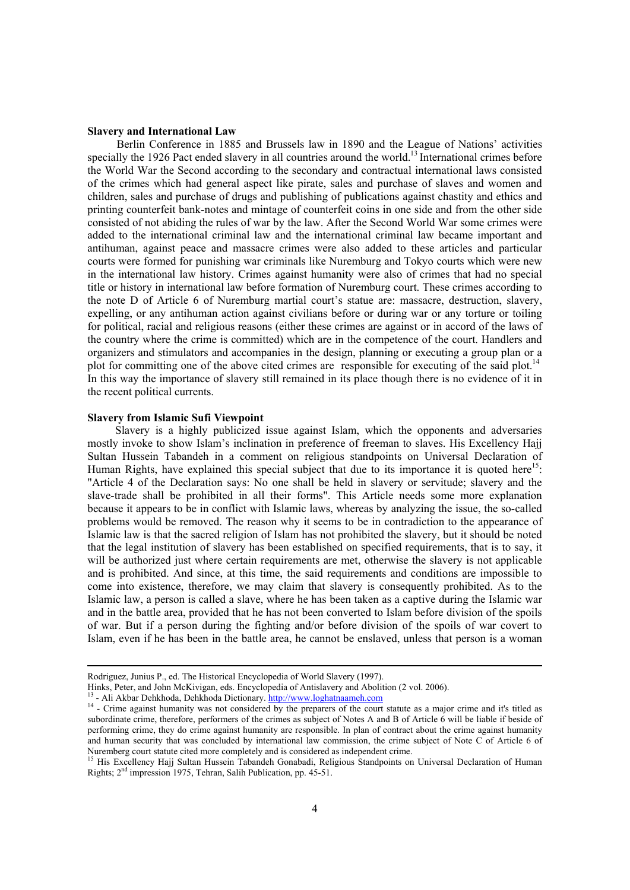#### **Slavery and International Law**

Berlin Conference in 1885 and Brussels law in 1890 and the League of Nations' activities specially the 1926 Pact ended slavery in all countries around the world.<sup>13</sup> International crimes before the World War the Second according to the secondary and contractual international laws consisted of the crimes which had general aspect like pirate, sales and purchase of slaves and women and children, sales and purchase of drugs and publishing of publications against chastity and ethics and printing counterfeit bank-notes and mintage of counterfeit coins in one side and from the other side consisted of not abiding the rules of war by the law. After the Second World War some crimes were added to the international criminal law and the international criminal law became important and antihuman, against peace and massacre crimes were also added to these articles and particular courts were formed for punishing war criminals like Nuremburg and Tokyo courts which were new in the international law history. Crimes against humanity were also of crimes that had no special title or history in international law before formation of Nuremburg court. These crimes according to the note D of Article 6 of Nuremburg martial court's statue are: massacre, destruction, slavery, expelling, or any antihuman action against civilians before or during war or any torture or toiling for political, racial and religious reasons (either these crimes are against or in accord of the laws of the country where the crime is committed) which are in the competence of the court. Handlers and organizers and stimulators and accompanies in the design, planning or executing a group plan or a plot for committing one of the above cited crimes are responsible for executing of the said plot.<sup>14</sup> In this way the importance of slavery still remained in its place though there is no evidence of it in the recent political currents.

#### **Slavery from Islamic Sufi Viewpoint**

Slavery is a highly publicized issue against Islam, which the opponents and adversaries mostly invoke to show Islam's inclination in preference of freeman to slaves. His Excellency Hajj Sultan Hussein Tabandeh in a comment on religious standpoints on Universal Declaration of Human Rights, have explained this special subject that due to its importance it is quoted here<sup>15</sup>: "Article 4 of the Declaration says: No one shall be held in slavery or servitude; slavery and the slave-trade shall be prohibited in all their forms". This Article needs some more explanation because it appears to be in conflict with Islamic laws, whereas by analyzing the issue, the so-called problems would be removed. The reason why it seems to be in contradiction to the appearance of Islamic law is that the sacred religion of Islam has not prohibited the slavery, but it should be noted that the legal institution of slavery has been established on specified requirements, that is to say, it will be authorized just where certain requirements are met, otherwise the slavery is not applicable and is prohibited. And since, at this time, the said requirements and conditions are impossible to come into existence, therefore, we may claim that slavery is consequently prohibited. As to the Islamic law, a person is called a slave, where he has been taken as a captive during the Islamic war and in the battle area, provided that he has not been converted to Islam before division of the spoils of war. But if a person during the fighting and/or before division of the spoils of war covert to Islam, even if he has been in the battle area, he cannot be enslaved, unless that person is a woman

Rodriguez, Junius P., ed. The Historical Encyclopedia of World Slavery (1997).<br>Hinks, Peter, and John McKivigan, eds. Encyclopedia of Antislavery and Abolition (2 vol. 2006).

<sup>&</sup>lt;sup>13</sup> - Ali Akbar Dehkhoda, Dehkhoda Dictionary.  $\frac{http://www.loghatnaameh.com}{http://www.loghatnaameh.com}$ <br><sup>14</sup> - Crime against humanity was not considered by the preparers of the court statute as a major crime and it's titled as subordinate crime, therefore, performers of the crimes as subject of Notes A and B of Article 6 will be liable if beside of performing crime, they do crime against humanity are responsible. In plan of contract about the crime against humanity and human security that was concluded by international law commission, the crime subject of Note C of Article 6 of Nuremberg court statute cited more completely and is considered as independent crime.

<sup>&</sup>lt;sup>15</sup> His Excellency Hajj Sultan Hussein Tabandeh Gonabadi, Religious Standpoints on Universal Declaration of Human Rights; 2nd impression 1975, Tehran, Salih Publication, pp. 45-51.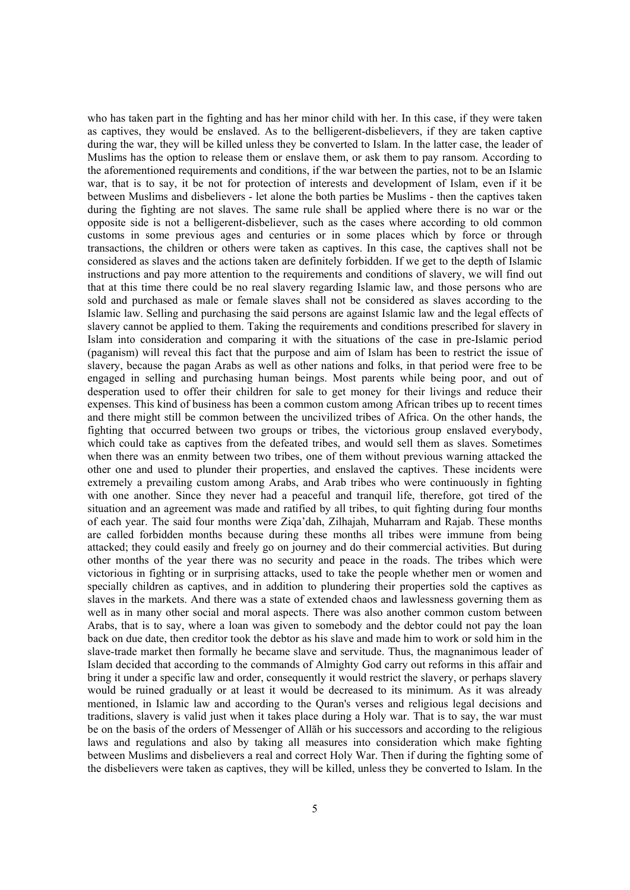who has taken part in the fighting and has her minor child with her. In this case, if they were taken as captives, they would be enslaved. As to the belligerent-disbelievers, if they are taken captive during the war, they will be killed unless they be converted to Islam. In the latter case, the leader of Muslims has the option to release them or enslave them, or ask them to pay ransom. According to the aforementioned requirements and conditions, if the war between the parties, not to be an Islamic war, that is to say, it be not for protection of interests and development of Islam, even if it be between Muslims and disbelievers - let alone the both parties be Muslims - then the captives taken during the fighting are not slaves. The same rule shall be applied where there is no war or the opposite side is not a belligerent-disbeliever, such as the cases where according to old common customs in some previous ages and centuries or in some places which by force or through transactions, the children or others were taken as captives. In this case, the captives shall not be considered as slaves and the actions taken are definitely forbidden. If we get to the depth of Islamic instructions and pay more attention to the requirements and conditions of slavery, we will find out that at this time there could be no real slavery regarding Islamic law, and those persons who are sold and purchased as male or female slaves shall not be considered as slaves according to the Islamic law. Selling and purchasing the said persons are against Islamic law and the legal effects of slavery cannot be applied to them. Taking the requirements and conditions prescribed for slavery in Islam into consideration and comparing it with the situations of the case in pre-Islamic period (paganism) will reveal this fact that the purpose and aim of Islam has been to restrict the issue of slavery, because the pagan Arabs as well as other nations and folks, in that period were free to be engaged in selling and purchasing human beings. Most parents while being poor, and out of desperation used to offer their children for sale to get money for their livings and reduce their expenses. This kind of business has been a common custom among African tribes up to recent times and there might still be common between the uncivilized tribes of Africa. On the other hands, the fighting that occurred between two groups or tribes, the victorious group enslaved everybody, which could take as captives from the defeated tribes, and would sell them as slaves. Sometimes when there was an enmity between two tribes, one of them without previous warning attacked the other one and used to plunder their properties, and enslaved the captives. These incidents were extremely a prevailing custom among Arabs, and Arab tribes who were continuously in fighting with one another. Since they never had a peaceful and tranquil life, therefore, got tired of the situation and an agreement was made and ratified by all tribes, to quit fighting during four months of each year. The said four months were Ziqa'dah, Zilhajah, Muharram and Rajab. These months are called forbidden months because during these months all tribes were immune from being attacked; they could easily and freely go on journey and do their commercial activities. But during other months of the year there was no security and peace in the roads. The tribes which were victorious in fighting or in surprising attacks, used to take the people whether men or women and specially children as captives, and in addition to plundering their properties sold the captives as slaves in the markets. And there was a state of extended chaos and lawlessness governing them as well as in many other social and moral aspects. There was also another common custom between Arabs, that is to say, where a loan was given to somebody and the debtor could not pay the loan back on due date, then creditor took the debtor as his slave and made him to work or sold him in the slave-trade market then formally he became slave and servitude. Thus, the magnanimous leader of Islam decided that according to the commands of Almighty God carry out reforms in this affair and bring it under a specific law and order, consequently it would restrict the slavery, or perhaps slavery would be ruined gradually or at least it would be decreased to its minimum. As it was already mentioned, in Islamic law and according to the Quran's verses and religious legal decisions and traditions, slavery is valid just when it takes place during a Holy war. That is to say, the war must be on the basis of the orders of Messenger of Allāh or his successors and according to the religious laws and regulations and also by taking all measures into consideration which make fighting between Muslims and disbelievers a real and correct Holy War. Then if during the fighting some of the disbelievers were taken as captives, they will be killed, unless they be converted to Islam. In the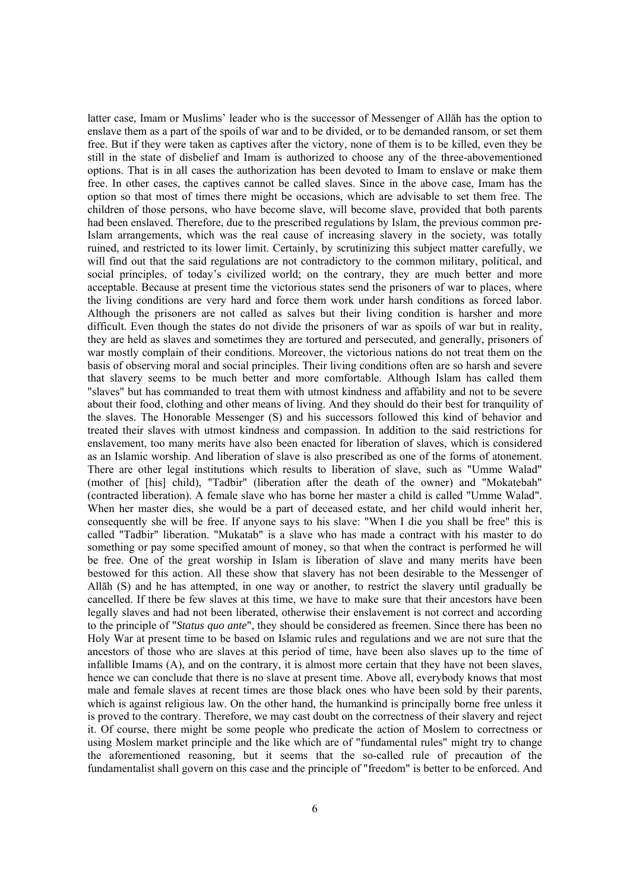latter case, Imam or Muslims' leader who is the successor of Messenger of Allāh has the option to enslave them as a part of the spoils of war and to be divided, or to be demanded ransom, or set them free. But if they were taken as captives after the victory, none of them is to be killed, even they be still in the state of disbelief and Imam is authorized to choose any of the three-abovementioned options. That is in all cases the authorization has been devoted to Imam to enslave or make them free. In other cases, the captives cannot be called slaves. Since in the above case, Imam has the option so that most of times there might be occasions, which are advisable to set them free. The children of those persons, who have become slave, will become slave, provided that both parents had been enslaved. Therefore, due to the prescribed regulations by Islam, the previous common pre-Islam arrangements, which was the real cause of increasing slavery in the society, was totally ruined, and restricted to its lower limit. Certainly, by scrutinizing this subject matter carefully, we will find out that the said regulations are not contradictory to the common military, political, and social principles, of today's civilized world; on the contrary, they are much better and more acceptable. Because at present time the victorious states send the prisoners of war to places, where the living conditions are very hard and force them work under harsh conditions as forced labor. Although the prisoners are not called as salves but their living condition is harsher and more difficult. Even though the states do not divide the prisoners of war as spoils of war but in reality, they are held as slaves and sometimes they are tortured and persecuted, and generally, prisoners of war mostly complain of their conditions. Moreover, the victorious nations do not treat them on the basis of observing moral and social principles. Their living conditions often are so harsh and severe that slavery seems to be much better and more comfortable. Although Islam has called them "slaves" but has commanded to treat them with utmost kindness and affability and not to be severe about their food, clothing and other means of living. And they should do their best for tranquility of the slaves. The Honorable Messenger (S) and his successors followed this kind of behavior and treated their slaves with utmost kindness and compassion. In addition to the said restrictions for enslavement, too many merits have also been enacted for liberation of slaves, which is considered as an Islamic worship. And liberation of slave is also prescribed as one of the forms of atonement. There are other legal institutions which results to liberation of slave, such as "Umme Walad" (mother of [his] child), "Tadbir" (liberation after the death of the owner) and "Mokatebah" (contracted liberation). A female slave who has borne her master a child is called "Umme Walad". When her master dies, she would be a part of deceased estate, and her child would inherit her, consequently she will be free. If anyone says to his slave: "When I die you shall be free" this is called "Tadbir" liberation. "Mukatab" is a slave who has made a contract with his master to do something or pay some specified amount of money, so that when the contract is performed he will be free. One of the great worship in Islam is liberation of slave and many merits have been bestowed for this action. All these show that slavery has not been desirable to the Messenger of Allāh (S) and he has attempted, in one way or another, to restrict the slavery until gradually be cancelled. If there be few slaves at this time, we have to make sure that their ancestors have been legally slaves and had not been liberated, otherwise their enslavement is not correct and according to the principle of "*Status quo ante*", they should be considered as freemen. Since there has been no Holy War at present time to be based on Islamic rules and regulations and we are not sure that the ancestors of those who are slaves at this period of time, have been also slaves up to the time of infallible Imams (A), and on the contrary, it is almost more certain that they have not been slaves, hence we can conclude that there is no slave at present time. Above all, everybody knows that most male and female slaves at recent times are those black ones who have been sold by their parents, which is against religious law. On the other hand, the humankind is principally borne free unless it is proved to the contrary. Therefore, we may cast doubt on the correctness of their slavery and reject it. Of course, there might be some people who predicate the action of Moslem to correctness or using Moslem market principle and the like which are of "fundamental rules" might try to change the aforementioned reasoning, but it seems that the so-called rule of precaution of the fundamentalist shall govern on this case and the principle of "freedom" is better to be enforced. And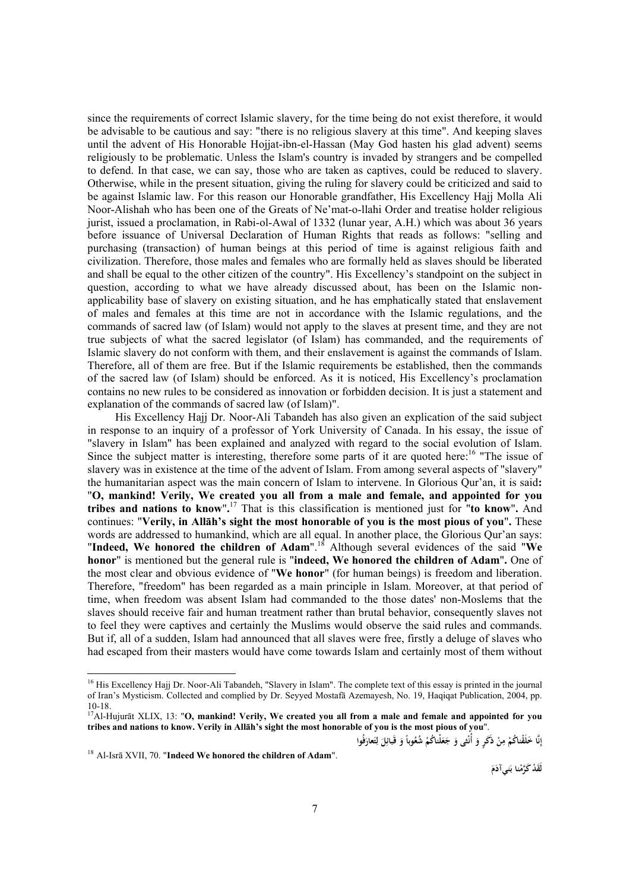since the requirements of correct Islamic slavery, for the time being do not exist therefore, it would be advisable to be cautious and say: "there is no religious slavery at this time". And keeping slaves until the advent of His Honorable Hojjat-ibn-el-Hassan (May God hasten his glad advent) seems religiously to be problematic. Unless the Islam's country is invaded by strangers and be compelled to defend. In that case, we can say, those who are taken as captives, could be reduced to slavery. Otherwise, while in the present situation, giving the ruling for slavery could be criticized and said to be against Islamic law. For this reason our Honorable grandfather, His Excellency Hajj Molla Ali Noor-Alishah who has been one of the Greats of Ne'mat-o-llahi Order and treatise holder religious jurist, issued a proclamation, in Rabi-ol-Awal of 1332 (lunar year, A.H.) which was about 36 years before issuance of Universal Declaration of Human Rights that reads as follows: "selling and purchasing (transaction) of human beings at this period of time is against religious faith and civilization. Therefore, those males and females who are formally held as slaves should be liberated and shall be equal to the other citizen of the country". His Excellency's standpoint on the subject in question, according to what we have already discussed about, has been on the Islamic nonapplicability base of slavery on existing situation, and he has emphatically stated that enslavement of males and females at this time are not in accordance with the Islamic regulations, and the commands of sacred law (of Islam) would not apply to the slaves at present time, and they are not true subjects of what the sacred legislator (of Islam) has commanded, and the requirements of Islamic slavery do not conform with them, and their enslavement is against the commands of Islam. Therefore, all of them are free. But if the Islamic requirements be established, then the commands of the sacred law (of Islam) should be enforced. As it is noticed, His Excellency's proclamation contains no new rules to be considered as innovation or forbidden decision. It is just a statement and explanation of the commands of sacred law (of Islam)".

His Excellency Hajj Dr. Noor-Ali Tabandeh has also given an explication of the said subject in response to an inquiry of a professor of York University of Canada. In his essay, the issue of "slavery in Islam" has been explained and analyzed with regard to the social evolution of Islam. Since the subject matter is interesting, therefore some parts of it are quoted here:<sup>16</sup> "The issue of slavery was in existence at the time of the advent of Islam. From among several aspects of "slavery" the humanitarian aspect was the main concern of Islam to intervene. In Glorious Qur'an, it is said**:**  "**O, mankind! Verily, We created you all from a male and female, and appointed for you tribes and nations to know**"**.** 17 That is this classification is mentioned just for "**to know**"**.** And continues: "**Verily, in Allāh's sight the most honorable of you is the most pious of you**"**.** These words are addressed to humankind, which are all equal. In another place, the Glorious Qur'an says: "**Indeed, We honored the children of Adam**".18 Although several evidences of the said "**We honor**" is mentioned but the general rule is "**indeed, We honored the children of Adam**"**.** One of the most clear and obvious evidence of "**We honor**" (for human beings) is freedom and liberation. Therefore, "freedom" has been regarded as a main principle in Islam. Moreover, at that period of time, when freedom was absent Islam had commanded to the those dates' non-Moslems that the slaves should receive fair and human treatment rather than brutal behavior, consequently slaves not to feel they were captives and certainly the Muslims would observe the said rules and commands. But if, all of a sudden, Islam had announced that all slaves were free, firstly a deluge of slaves who had escaped from their masters would have come towards Islam and certainly most of them without

إِنَّا خَلَقْناكُمْ مِنْ ذَكَرٍ وَ أُنْثى وَ جَعَلْناكُمْ شُعُوباً وَ قَبَائِلَ لِتَعارَفُوا **ِ َ**

**<sup>ج</sup> َ <sup>و</sup>** <sup>18</sup> Al-Isrā XVII, 70. "**Indeed We honored the children of Adam**".

-

**َني ْنا ب َ لََق ْد َكَّرم آد َم**

<sup>&</sup>lt;sup>16</sup> His Excellency Hajj Dr. Noor-Ali Tabandeh, "Slavery in Islam". The complete text of this essay is printed in the journal of Iran's Mysticism. Collected and complied by Dr. Seyyed Mostafā Azemayesh, No. 19, Haqiqat Publication, 2004, pp. 10-18.

<sup>17</sup>Al-Hujurāt XLIX, 13: "**O, mankind! Verily, We created you all from a male and female and appointed for you tribes and nations to know. Verily in Allāh's sight the most honorable of you is the most pious of you**".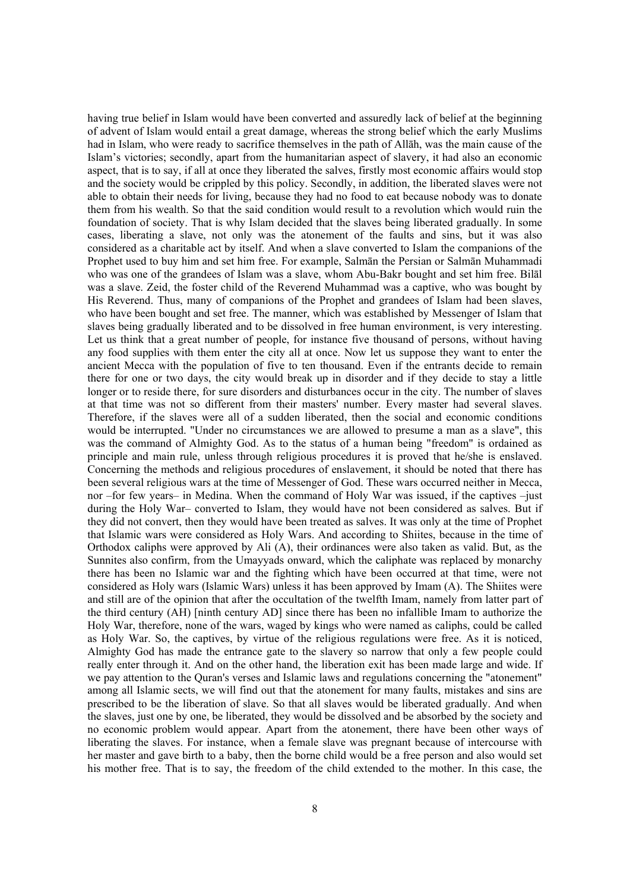having true belief in Islam would have been converted and assuredly lack of belief at the beginning of advent of Islam would entail a great damage, whereas the strong belief which the early Muslims had in Islam, who were ready to sacrifice themselves in the path of Allāh, was the main cause of the Islam's victories; secondly, apart from the humanitarian aspect of slavery, it had also an economic aspect, that is to say, if all at once they liberated the salves, firstly most economic affairs would stop and the society would be crippled by this policy. Secondly, in addition, the liberated slaves were not able to obtain their needs for living, because they had no food to eat because nobody was to donate them from his wealth. So that the said condition would result to a revolution which would ruin the foundation of society. That is why Islam decided that the slaves being liberated gradually. In some cases, liberating a slave, not only was the atonement of the faults and sins, but it was also considered as a charitable act by itself. And when a slave converted to Islam the companions of the Prophet used to buy him and set him free. For example, Salmān the Persian or Salmān Muhammadi who was one of the grandees of Islam was a slave, whom Abu-Bakr bought and set him free. Bilāl was a slave. Zeid, the foster child of the Reverend Muhammad was a captive, who was bought by His Reverend. Thus, many of companions of the Prophet and grandees of Islam had been slaves, who have been bought and set free. The manner, which was established by Messenger of Islam that slaves being gradually liberated and to be dissolved in free human environment, is very interesting. Let us think that a great number of people, for instance five thousand of persons, without having any food supplies with them enter the city all at once. Now let us suppose they want to enter the ancient Mecca with the population of five to ten thousand. Even if the entrants decide to remain there for one or two days, the city would break up in disorder and if they decide to stay a little longer or to reside there, for sure disorders and disturbances occur in the city. The number of slaves at that time was not so different from their masters' number. Every master had several slaves. Therefore, if the slaves were all of a sudden liberated, then the social and economic conditions would be interrupted. "Under no circumstances we are allowed to presume a man as a slave", this was the command of Almighty God. As to the status of a human being "freedom" is ordained as principle and main rule, unless through religious procedures it is proved that he/she is enslaved. Concerning the methods and religious procedures of enslavement, it should be noted that there has been several religious wars at the time of Messenger of God. These wars occurred neither in Mecca, nor –for few years– in Medina. When the command of Holy War was issued, if the captives –just during the Holy War– converted to Islam, they would have not been considered as salves. But if they did not convert, then they would have been treated as salves. It was only at the time of Prophet that Islamic wars were considered as Holy Wars. And according to Shiites, because in the time of Orthodox caliphs were approved by Ali (A), their ordinances were also taken as valid. But, as the Sunnites also confirm, from the Umayyads onward, which the caliphate was replaced by monarchy there has been no Islamic war and the fighting which have been occurred at that time, were not considered as Holy wars (Islamic Wars) unless it has been approved by Imam (A). The Shiites were and still are of the opinion that after the occultation of the twelfth Imam, namely from latter part of the third century (AH) [ninth century AD] since there has been no infallible Imam to authorize the Holy War, therefore, none of the wars, waged by kings who were named as caliphs, could be called as Holy War. So, the captives, by virtue of the religious regulations were free. As it is noticed, Almighty God has made the entrance gate to the slavery so narrow that only a few people could really enter through it. And on the other hand, the liberation exit has been made large and wide. If we pay attention to the Quran's verses and Islamic laws and regulations concerning the "atonement" among all Islamic sects, we will find out that the atonement for many faults, mistakes and sins are prescribed to be the liberation of slave. So that all slaves would be liberated gradually. And when the slaves, just one by one, be liberated, they would be dissolved and be absorbed by the society and no economic problem would appear. Apart from the atonement, there have been other ways of liberating the slaves. For instance, when a female slave was pregnant because of intercourse with her master and gave birth to a baby, then the borne child would be a free person and also would set his mother free. That is to say, the freedom of the child extended to the mother. In this case, the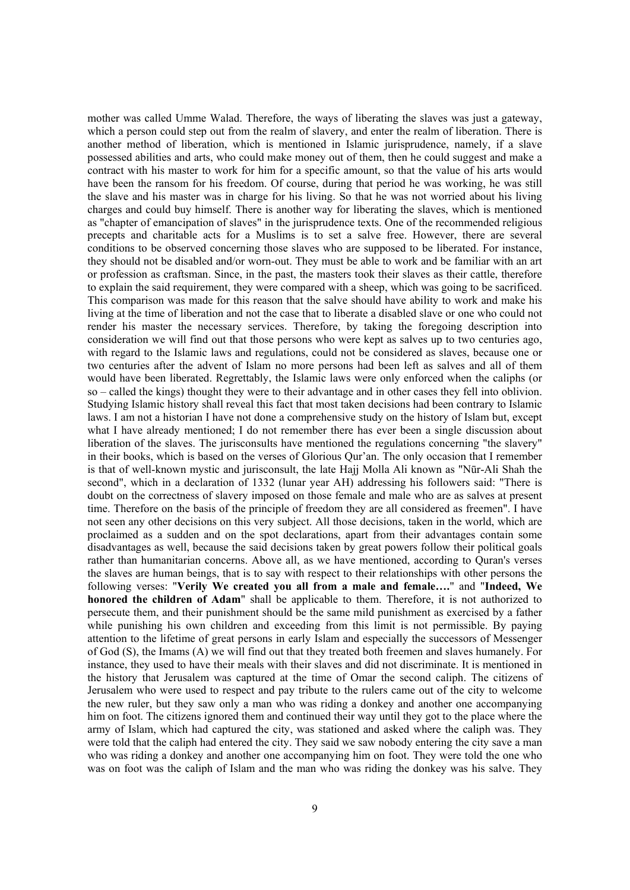mother was called Umme Walad. Therefore, the ways of liberating the slaves was just a gateway, which a person could step out from the realm of slavery, and enter the realm of liberation. There is another method of liberation, which is mentioned in Islamic jurisprudence, namely, if a slave possessed abilities and arts, who could make money out of them, then he could suggest and make a contract with his master to work for him for a specific amount, so that the value of his arts would have been the ransom for his freedom. Of course, during that period he was working, he was still the slave and his master was in charge for his living. So that he was not worried about his living charges and could buy himself. There is another way for liberating the slaves, which is mentioned as "chapter of emancipation of slaves" in the jurisprudence texts. One of the recommended religious precepts and charitable acts for a Muslims is to set a salve free. However, there are several conditions to be observed concerning those slaves who are supposed to be liberated. For instance, they should not be disabled and/or worn-out. They must be able to work and be familiar with an art or profession as craftsman. Since, in the past, the masters took their slaves as their cattle, therefore to explain the said requirement, they were compared with a sheep, which was going to be sacrificed. This comparison was made for this reason that the salve should have ability to work and make his living at the time of liberation and not the case that to liberate a disabled slave or one who could not render his master the necessary services. Therefore, by taking the foregoing description into consideration we will find out that those persons who were kept as salves up to two centuries ago, with regard to the Islamic laws and regulations, could not be considered as slaves, because one or two centuries after the advent of Islam no more persons had been left as salves and all of them would have been liberated. Regrettably, the Islamic laws were only enforced when the caliphs (or so – called the kings) thought they were to their advantage and in other cases they fell into oblivion. Studying Islamic history shall reveal this fact that most taken decisions had been contrary to Islamic laws. I am not a historian I have not done a comprehensive study on the history of Islam but, except what I have already mentioned; I do not remember there has ever been a single discussion about liberation of the slaves. The jurisconsults have mentioned the regulations concerning "the slavery" in their books, which is based on the verses of Glorious Qur'an. The only occasion that I remember is that of well-known mystic and jurisconsult, the late Hajj Molla Ali known as "Nūr-Ali Shah the second", which in a declaration of 1332 (lunar year AH) addressing his followers said: "There is doubt on the correctness of slavery imposed on those female and male who are as salves at present time. Therefore on the basis of the principle of freedom they are all considered as freemen". I have not seen any other decisions on this very subject. All those decisions, taken in the world, which are proclaimed as a sudden and on the spot declarations, apart from their advantages contain some disadvantages as well, because the said decisions taken by great powers follow their political goals rather than humanitarian concerns. Above all, as we have mentioned, according to Quran's verses the slaves are human beings, that is to say with respect to their relationships with other persons the following verses: "**Verily We created you all from a male and female….**" and "**Indeed, We honored the children of Adam**" shall be applicable to them. Therefore, it is not authorized to persecute them, and their punishment should be the same mild punishment as exercised by a father while punishing his own children and exceeding from this limit is not permissible. By paying attention to the lifetime of great persons in early Islam and especially the successors of Messenger of God (S), the Imams (A) we will find out that they treated both freemen and slaves humanely. For instance, they used to have their meals with their slaves and did not discriminate. It is mentioned in the history that Jerusalem was captured at the time of Omar the second caliph. The citizens of Jerusalem who were used to respect and pay tribute to the rulers came out of the city to welcome the new ruler, but they saw only a man who was riding a donkey and another one accompanying him on foot. The citizens ignored them and continued their way until they got to the place where the army of Islam, which had captured the city, was stationed and asked where the caliph was. They were told that the caliph had entered the city. They said we saw nobody entering the city save a man who was riding a donkey and another one accompanying him on foot. They were told the one who was on foot was the caliph of Islam and the man who was riding the donkey was his salve. They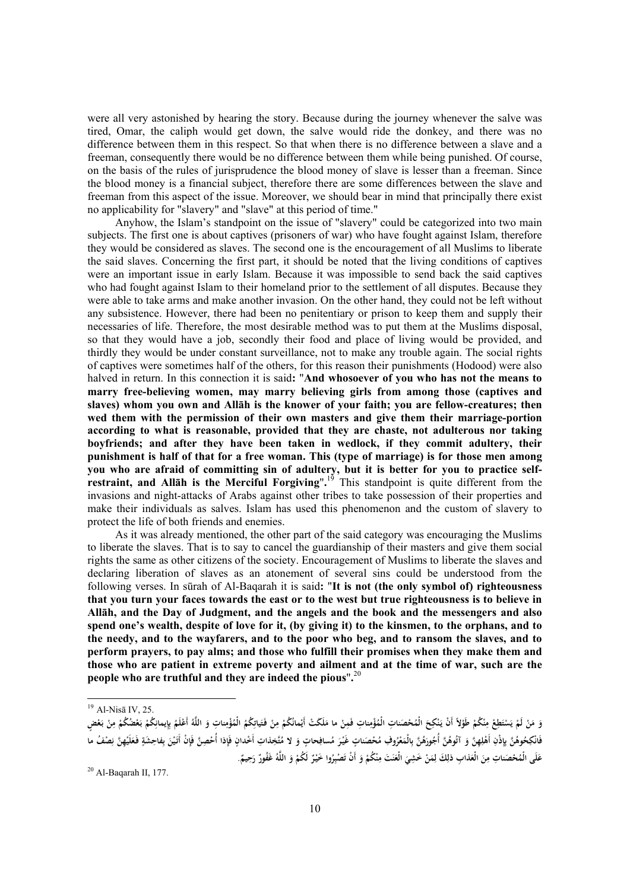were all very astonished by hearing the story. Because during the journey whenever the salve was tired, Omar, the caliph would get down, the salve would ride the donkey, and there was no difference between them in this respect. So that when there is no difference between a slave and a freeman, consequently there would be no difference between them while being punished. Of course, on the basis of the rules of jurisprudence the blood money of slave is lesser than a freeman. Since the blood money is a financial subject, therefore there are some differences between the slave and freeman from this aspect of the issue. Moreover, we should bear in mind that principally there exist no applicability for "slavery" and "slave" at this period of time."

Anyhow, the Islam's standpoint on the issue of "slavery" could be categorized into two main subjects. The first one is about captives (prisoners of war) who have fought against Islam, therefore they would be considered as slaves. The second one is the encouragement of all Muslims to liberate the said slaves. Concerning the first part, it should be noted that the living conditions of captives were an important issue in early Islam. Because it was impossible to send back the said captives who had fought against Islam to their homeland prior to the settlement of all disputes. Because they were able to take arms and make another invasion. On the other hand, they could not be left without any subsistence. However, there had been no penitentiary or prison to keep them and supply their necessaries of life. Therefore, the most desirable method was to put them at the Muslims disposal, so that they would have a job, secondly their food and place of living would be provided, and thirdly they would be under constant surveillance, not to make any trouble again. The social rights of captives were sometimes half of the others, for this reason their punishments (Hodood) were also halved in return. In this connection it is said**:** "**And whosoever of you who has not the means to marry free-believing women, may marry believing girls from among those (captives and slaves) whom you own and Allāh is the knower of your faith; you are fellow-creatures; then wed them with the permission of their own masters and give them their marriage-portion according to what is reasonable, provided that they are chaste, not adulterous nor taking boyfriends; and after they have been taken in wedlock, if they commit adultery, their punishment is half of that for a free woman. This (type of marriage) is for those men among you who are afraid of committing sin of adultery, but it is better for you to practice selfrestraint, and Allāh is the Merciful Forgiving**"**.** <sup>19</sup> This standpoint is quite different from the invasions and night-attacks of Arabs against other tribes to take possession of their properties and make their individuals as salves. Islam has used this phenomenon and the custom of slavery to protect the life of both friends and enemies.

As it was already mentioned, the other part of the said category was encouraging the Muslims to liberate the slaves. That is to say to cancel the guardianship of their masters and give them social rights the same as other citizens of the society. Encouragement of Muslims to liberate the slaves and declaring liberation of slaves as an atonement of several sins could be understood from the following verses. In sūrah of Al-Baqarah it is said**:** "**It is not (the only symbol of) righteousness that you turn your faces towards the east or to the west but true righteousness is to believe in Allāh, and the Day of Judgment, and the angels and the book and the messengers and also spend one's wealth, despite of love for it, (by giving it) to the kinsmen, to the orphans, and to the needy, and to the wayfarers, and to the poor who beg, and to ransom the slaves, and to perform prayers, to pay alms; and those who fulfill their promises when they make them and those who are patient in extreme poverty and ailment and at the time of war, such are the people who are truthful and they are indeed the pious**"**.** 20

 $\overline{a}$ 

<sup>19</sup> Al-Nisā IV, 25.

**<sup>ْ</sup>** وَ مَنْ لَمْ يَسْتَطِعْ مِنْكُمْ طَوْلاً أَنْ يَنْكِحَ الْمُحْصَناتِ الْمُؤْمِناتِ فَمِنْ ما مَلَكَتْ أَيْمانُكُمْ مِنْ فَتَياتِكُمُ الْمُؤْمِناتِ وَ اللَّهُ أَعْلَمُ بِإيمانِكُمْ بَعْضٍ بَعْضٍ **ِ ْ َ َ ِ** فَانْكِحُوهُنَّ بِإِذْنِ أَهْلِهِنَّ وَ آتُوهُنَّ أُجُورَهُنَّ بِالْمَعْرُوفِ مُحْصَناتٍ غَيْرَ مُسافِحاتٍ وَ لا مُتَّخِذاتِ أَخْدانٍ فَإِذا أُحْصِنَّ فَإِنْ أَتَيْنَ بِفاحِشَةٍ فَعَلَيْهِنَّ نِصْفُ ما **َ ِ ِْ َ ٍِ**عَلَى الْمُحْصَناتِ مِنَ الْعَذابِ ذلِكَ لِمَنْ خَشِيَ الْعَنَتَ مِنْكُمْ وَ أَنْ تَصْبِرُوا خَيْرٌ لَكُمْ وَ اللَّهُ غَفُورٌ رَحِيمٌ. **ِ َ ِ**

**حَ <sup>ر</sup>** 20 Al-Baqarah II, 177.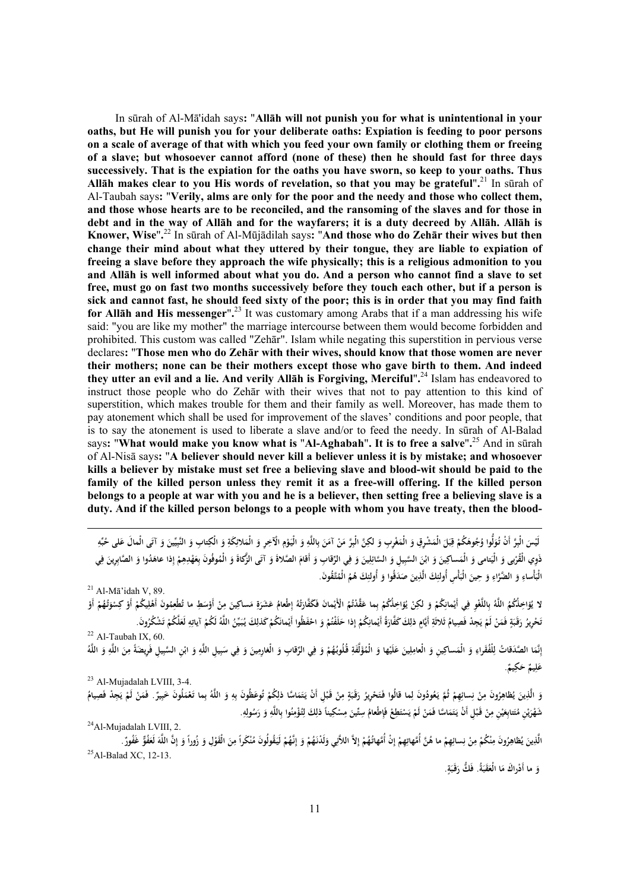In sūrah of Al-Mā'idah says**:** "**Allāh will not punish you for what is unintentional in your oaths, but He will punish you for your deliberate oaths: Expiation is feeding to poor persons on a scale of average of that with which you feed your own family or clothing them or freeing of a slave; but whosoever cannot afford (none of these) then he should fast for three days successively. That is the expiation for the oaths you have sworn, so keep to your oaths. Thus Allāh makes clear to you His words of revelation, so that you may be grateful**"**.** <sup>21</sup> In sūrah of Al-Taubah says**:** "**Verily, alms are only for the poor and the needy and those who collect them, and those whose hearts are to be reconciled, and the ransoming of the slaves and for those in debt and in the way of Allāh and for the wayfarers; it is a duty decreed by Allāh. Allāh is Knower, Wise**"**.** <sup>22</sup> In sūrah of Al-Mūjādilah says**:** "**And those who do Zehār their wives but then change their mind about what they uttered by their tongue, they are liable to expiation of freeing a slave before they approach the wife physically; this is a religious admonition to you and Allāh is well informed about what you do. And a person who cannot find a slave to set free, must go on fast two months successively before they touch each other, but if a person is sick and cannot fast, he should feed sixty of the poor; this is in order that you may find faith for Allāh and His messenger**"**.** <sup>23</sup> It was customary among Arabs that if a man addressing his wife said: "you are like my mother" the marriage intercourse between them would become forbidden and prohibited. This custom was called "Zehār". Islam while negating this superstition in pervious verse declares**:** "**Those men who do Zehār with their wives, should know that those women are never their mothers; none can be their mothers except those who gave birth to them. And indeed they utter an evil and a lie. And verily Allāh is Forgiving, Merciful**"**.** <sup>24</sup> Islam has endeavored to instruct those people who do Zehār with their wives that not to pay attention to this kind of superstition, which makes trouble for them and their family as well. Moreover, has made them to pay atonement which shall be used for improvement of the slaves' conditions and poor people, that is to say the atonement is used to liberate a slave and/or to feed the needy. In sūrah of Al-Balad says**:** "**What would make you know what is** "**Al-Aghabah**"**. It is to free a salve**"**.** <sup>25</sup> And in sūrah of Al-Nisā says**:** "**A believer should never kill a believer unless it is by mistake; and whosoever kills a believer by mistake must set free a believing slave and blood-wit should be paid to the family of the killed person unless they remit it as a free-will offering. If the killed person belongs to a people at war with you and he is a believer, then setting free a believing slave is a duty. And if the killed person belongs to a people with whom you have treaty, then the blood-**

**َ** لَيْسَ الْبِرَّ أَنْ تُوَلُّوا وُجُوهَكُمْ قِبَلَ الْمَشْرِقِ وَ الْمَغْرِبِ وَ لكِنَّ الْبِرَّ مَنْ آمَنَ بِاللَّهِ وَ الْيَوْمِ الْآخِرِ وَ الْمَلائِكَةِ وَ الْكِتابِ وَ النَّبِيِّينَ وَ آتَى الْمالَ عَلى حُبِّهِ **ِ ِِ ل َ ِ ِ**ذَوِي الْقُرْبى وَ الْيَعامى وَ الْمَساكِينَ وَ ابْنَ السَّبِيلِ وَ السَّائِلِينَ وَ فِي الرِّقابِ وَ أَقامَ الصَّلاةَ وَ آتَى الزُّكاةَ وَ الْمُوفُونَ بِعَهْدِهِمْ إِذا عاهَدُوا وَ الصَّابِرِينَ فِي **ِ** الْبَأْساءِ وَ الضَّرَّاءِ وَ حِينَ الْبَأْسِ أُولئِكَ الَّذِينَ صَدَقُوا وَ أُولئِكَ هُمُ الْمُتَّقُونَ. **َِ ِ**

 $21$  Al-Ma'idah V, 89.

لا يُؤاخِلُكُمُ اللَّهُ بِاللَّغْوِ فِي أَيْمانِكُمْ وَ لكِنْ يُؤاخِلُكُمْ بِما عَقَّدْتُمُ الْأَيْمانَ فَكَفَارَتُهُ إطْعامُ عَشَرَةِ مَساكِينَ مِنْ أَوْسَطِ ما تُطْعِمُونَ أَهْلِيكُمْ أَوْ كِسْوَتُهُمْ أَوْ **ت َ َ َِِِ َ** نَحْرِيرُ رَقَبَةٍ فَمَنْ لَمْ يَجِدْ فَصِيامُ ثَلاثَةِ أَيَّامٍ ذلِكَ كَفَّارَةُ أَيْمانِكُمْ إِذا حَلَفْتُمْ وَ احْفَظُوا أَيْمانَكُمْ كَذلِكَ يُبَيِّنُ اللَّهُ لَكُمْ آياتِهِ لَعَلَّكُمْ تَشْكُرُونَ. **َ َِ َ َ َ ِي**

 $22$  Al-Taubah IX, 60.

إِنَّمَا الصَّدَقاتُ لِلْفُقَراءِ وَ الْمَسَاكِينِ وَ الْعَامِلِينَ عَلَيْها وَ الْمُؤَلَّفَةِ قُلُوبُهُمْ وَ فِي الرِّقابِ وَ الْغَاوِمِينَ وَ فِي سَبِيلِ اللَّهِ وَ ابْنِ السَّبِيلِ فَرِيضَةً مِنَ اللَّهِ وَ اللَّهُ **َ ِ ِ . ٌ ِيم َك ٌ ح ِيم َل ع**

 $23$  Al-Mujadalah LVIII, 3-4.

**ِ** وَ الَّذِينَ يُظاهِرُونَ مِنْ نِسائِهِمْ ثُمَّ يَعُودُونَ لِما قالُوا فَتَحْرِيرُ رَقَبَةٍ مِنْ قَبْلِ أَنْ يَتَمَاسًا ذلِكُمْ تُوعَظُونَ بِهِ وَ اللَّهُ بِما تَعْمَلُونَ خَبِيرٌ. فَمَنْ لَمْ يَجِدْ فَصِيامُ **َِ َ َ َ َ ْ** شَهْرَيْنِ مُتَتابِعَيْنِ مِنْ قَبْلِ أَنْ يَتَمَاسًا فَمَنْ لَمْ يَسْتَطِعْ فَإِطْعامُ سِتِّينَ مِسْكِيناً ذلِكَ لِتُؤْمِنُوا بِاللَّهِ وَ رَسُولِهِ.<br>.2 Al-Mujadalah LVIII, 2-**َ َ ي َ ِِ ِ ِْ**

الَّذِينَ يُظاهِرُونَ مِنْكُمْ مِنْ نِسائِهِمْ ما هُنَّ أُمَّهاتِهِمْ إِنْ أَمَّهاتُهُمْ إِلاَّ اللاَّنِي وَلَدْنَهُمْ وَ إِنَّهُمْ لَيَقُولُونَ مُنْكَراً مِنَ الْقَوْلِ وَ زُوراً وَ إِنَّ اللَّهَ لَعَفُوٌّ شَفُورٌ .<br>25Al **َ ِ ْ**

**.ٍ َة ََقـب َ ُّك ر .ُ ف َة ََقب ا الْع ْ َراك م و َ ما أَدَ**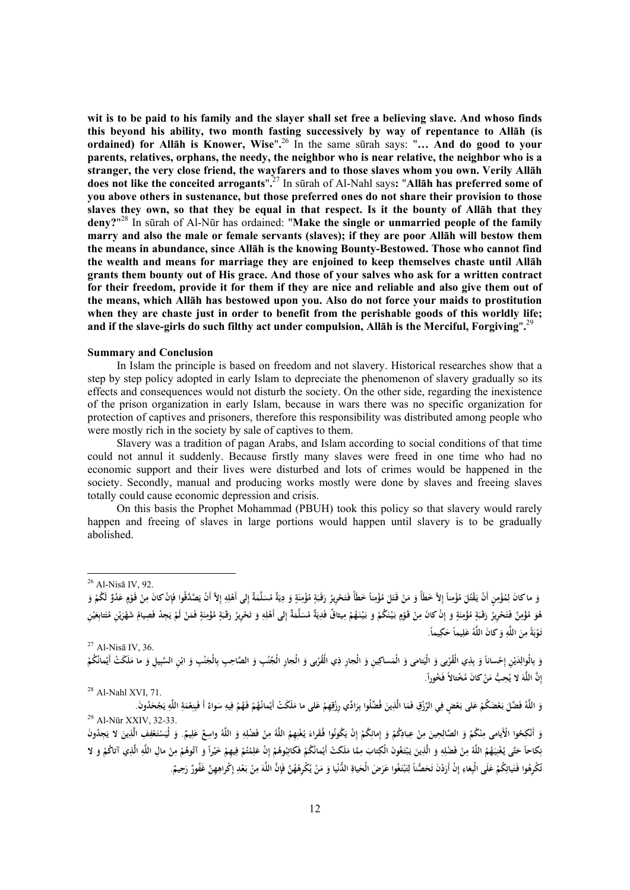**wit is to be paid to his family and the slayer shall set free a believing slave. And whoso finds this beyond his ability, two month fasting successively by way of repentance to Allāh (is ordained) for Allāh is Knower, Wise**"**.** <sup>26</sup> In the same sūrah says: "**… And do good to your parents, relatives, orphans, the needy, the neighbor who is near relative, the neighbor who is a stranger, the very close friend, the wayfarers and to those slaves whom you own. Verily Allāh does not like the conceited arrogants**"**.** <sup>27</sup> In sūrah of Al-Nahl says**:** "**Allāh has preferred some of you above others in sustenance, but those preferred ones do not share their provision to those slaves they own, so that they be equal in that respect. Is it the bounty of Allāh that they deny?**" 28 In sūrah of Al-Nūr has ordained: "**Make the single or unmarried people of the family marry and also the male or female servants (slaves); if they are poor Allāh will bestow them the means in abundance, since Allāh is the knowing Bounty-Bestowed. Those who cannot find the wealth and means for marriage they are enjoined to keep themselves chaste until Allāh grants them bounty out of His grace. And those of your salves who ask for a written contract for their freedom, provide it for them if they are nice and reliable and also give them out of the means, which Allāh has bestowed upon you. Also do not force your maids to prostitution when they are chaste just in order to benefit from the perishable goods of this worldly life; and if the slave-girls do such filthy act under compulsion, Allāh is the Merciful, Forgiving**"**.** 29

## **Summary and Conclusion**

In Islam the principle is based on freedom and not slavery. Historical researches show that a step by step policy adopted in early Islam to depreciate the phenomenon of slavery gradually so its effects and consequences would not disturb the society. On the other side, regarding the inexistence of the prison organization in early Islam, because in wars there was no specific organization for protection of captives and prisoners, therefore this responsibility was distributed among people who were mostly rich in the society by sale of captives to them.

Slavery was a tradition of pagan Arabs, and Islam according to social conditions of that time could not annul it suddenly. Because firstly many slaves were freed in one time who had no economic support and their lives were disturbed and lots of crimes would be happened in the society. Secondly, manual and producing works mostly were done by slaves and freeing slaves totally could cause economic depression and crisis.

On this basis the Prophet Mohammad (PBUH) took this policy so that slavery would rarely happen and freeing of slaves in large portions would happen until slavery is to be gradually abolished.

-

**َ** وَ ما كانَ لِمُؤْمِنٍ أَنْ يَقْتُلَ مُؤْمِناً إِلاَّ خَطَأَ وَ مَنْ قَتَلَ مُؤْمِناً خَطَأً فَتَحْرِيرُ رَقَبَةٍ مُؤْمِنَةٍ وَ دِيَةٌ مُسَلَّمَةٌ إِلى أَهْلِهِ إِلاَّ أَنْ يَصَدَّقُوا فَإِنْ كانَ مِنْ قَوْمٍ عَدُوٌّ لَكُمْ **َ با ي ِ ِ ٍ**هُوَ مُؤْمِنٌ فَتَحْرِيرُ رَقَبَةٍ مُؤْمِنَةٍ وَ إِنْ كانَ مِنْ قَوْمٍ بَيْنَكُمْ وَ بَيْنَهُمْ مِيثاقٌ فَدِيَةٌ مُسَلَّمَةٌ إِلى أَهْلِهِ وَ تَحْرِيرُ رَقَبَةٍ مُؤْمِنَةٍ فَمَنْ مُتَتابِعَيْنِ مُتَتابِعَيْنِ **َ با ي ِ ٍِِ َ َ ي َ َ ِ َ** ةً مِنَ اللَّهِ وَ كانَ اللَّهُ عَلِيماً حَكِيماً. **َ ب ْ وَ تـ** <sup>27</sup> Al-Nisā IV, 36.

وَ بِالْوالِدَيْنِ إِحْساناً وَ بِذِي الْقُرْبى وَ الْيَساعِينِ وَ الْجارِ ذِي الْقُرْبى وَ الْجارِ الْجُنُبِ وَ الصَّاحِبِ بِالْجَنْبِ وَ ابْنِ السَّبِيلِ وَ ما مَلَكَتْ أَيْمانُكُمْ **ِ َ َ .ً َ ُخورا ً ف ُ ْختالا ْ َ كان م َن ِح ُّب م ُ َ لا ي َّه** 71. ,XVI Nahl-Al <sup>28</sup> **<sup>إ</sup> ِ َّن الل**

وَ اللَّهُ فَضَّلَ بَعْضَكُمْ عَلى بَعْضٍ فِي الرِّزْقِ فَمَا الَّذِينَ فُضِّلُوا بِرَادِّي رِزْقِهِمْ عَلى ما مَلَكَتْ أَيْمانُهُمْ فَهُمْ فِيهِ سَواءٌ أَ فَبِنِعْمَةِ اللَّهِ يَجْحَدُونَ.<br>Al-Nūr XXIV, 32-33. **ْ ِ**

وَ أَنْكِحُوا الْأَيامى مِنْكُمْ وَ الصَّالِحِينَ مِنْ عِبادِكُمْ وَ إِمائِكُمْ إِنْ يَكُونُوا فُقَراءَ يُغْنِهِمُ اللَّهُ مِنْ فَضْلِهِ وَ اللَّهُ واسِعٌ عَلِيمٌ. وَ لْيَسْتَغْفِفِ الَّذِينَ لا يَجِدُونَ **ِ َ** نِكاحاً حَتَّى يُغْنِيَهُمُ اللَّهُ مِنْ فَضْلِهِ وَ الَّذِينَ يَبْتَغُونَ الْكِتابَ مِمَّا مَلَكَتْ أَيْمانُكُمْ فَكاتِبُوهُمْ إِنْ عَلِمْتُمْ فِيهِمْ خَيْراً وَ آتُوهُمْ مِنْ مالِ اللَّهِ الَّذِي آتاكُمْ وَ لا **ِ َ ِ َ َ** نُكْرِهُوا فَتَياتِكُمْ عَلَى الْبِغاءِ إِنْ أَرَدْنَ تَحَصُّناً لِتَبْتَغُوا عَرَضَ الْحَياةِ الدُّنْيا وَ مَنْ يُكْرِهْهُنَّ فَإِنَّ اللَّهَ مِنْ بَعْدِ إِكْراهِهِنَّ غَفُورٌ رَحِيمٌ. **َ ِ َ**

<sup>26</sup> Al-Nisā IV, 92.